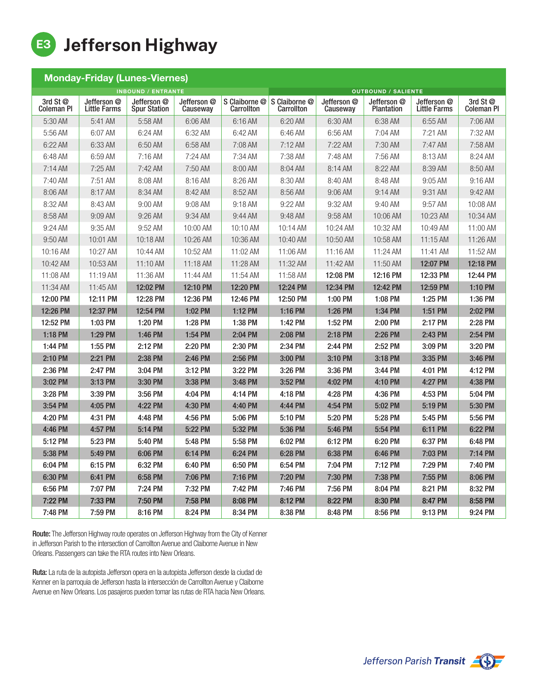

| <b>Monday-Friday (Lunes-Viernes)</b> |                                    |                                    |                         |                             |                             |                         |                                  |                             |                               |  |
|--------------------------------------|------------------------------------|------------------------------------|-------------------------|-----------------------------|-----------------------------|-------------------------|----------------------------------|-----------------------------|-------------------------------|--|
| <b>INBOUND / ENTRANTE</b>            |                                    |                                    |                         |                             | <b>OUTBOUND / SALIENTE</b>  |                         |                                  |                             |                               |  |
| 3rd St @<br><b>Coleman PI</b>        | Jefferson @<br><b>Little Farms</b> | Jefferson @<br><b>Spur Station</b> | Jefferson @<br>Causeway | S Claiborne @<br>Carrollton | S Claiborne @<br>Carrollton | Jefferson @<br>Causeway | Jefferson @<br><b>Plantation</b> | Jefferson @<br>Little Farms | 3rd St @<br><b>Coleman PI</b> |  |
| 5:30 AM                              | 5:41 AM                            | 5:58 AM                            | 6:06 AM                 | 6:16 AM                     | 6:20 AM                     | 6:30 AM                 | 6:38 AM                          | 6:55 AM                     | 7:06 AM                       |  |
| 5:56 AM                              | 6:07 AM                            | 6:24 AM                            | 6:32 AM                 | 6:42 AM                     | 6:46 AM                     | 6:56 AM                 | 7:04 AM                          | 7:21 AM                     | 7:32 AM                       |  |
| 6:22 AM                              | 6:33 AM                            | 6:50 AM                            | 6:58 AM                 | 7:08 AM                     | 7:12 AM                     | 7:22 AM                 | 7:30 AM                          | 7:47 AM                     | 7:58 AM                       |  |
| 6:48 AM                              | 6:59 AM                            | 7:16AM                             | 7:24 AM                 | 7:34 AM                     | 7:38 AM                     | 7:48 AM                 | 7:56 AM                          | 8:13 AM                     | 8:24 AM                       |  |
| 7:14 AM                              | 7:25 AM                            | 7:42 AM                            | 7:50 AM                 | 8:00 AM                     | 8:04 AM                     | 8:14 AM                 | 8:22 AM                          | 8:39 AM                     | 8:50 AM                       |  |
| 7:40 AM                              | 7:51 AM                            | 8:08 AM                            | 8:16 AM                 | 8:26 AM                     | 8:30 AM                     | 8:40 AM                 | 8:48 AM                          | 9:05 AM                     | 9:16 AM                       |  |
| 8:06 AM                              | 8:17 AM                            | 8:34 AM                            | 8:42 AM                 | 8:52 AM                     | 8:56 AM                     | $9:06$ AM               | 9:14AM                           | 9:31 AM                     | 9:42 AM                       |  |
| 8:32 AM                              | 8:43 AM                            | 9:00 AM                            | 9:08 AM                 | 9:18 AM                     | 9:22 AM                     | 9:32 AM                 | 9:40 AM                          | 9:57 AM                     | 10:08 AM                      |  |
| 8:58 AM                              | 9:09 AM                            | 9:26 AM                            | 9:34 AM                 | 9:44 AM                     | 9:48 AM                     | 9:58 AM                 | 10:06 AM                         | 10:23 AM                    | 10:34 AM                      |  |
| 9:24 AM                              | 9:35 AM                            | 9:52 AM                            | 10:00 AM                | 10:10 AM                    | 10:14 AM                    | 10:24 AM                | 10:32 AM                         | 10:49 AM                    | 11:00 AM                      |  |
| 9:50 AM                              | 10:01 AM                           | 10:18 AM                           | 10:26 AM                | 10:36 AM                    | 10:40 AM                    | 10:50 AM                | 10:58 AM                         | 11:15 AM                    | 11:26 AM                      |  |
| 10:16 AM                             | 10:27 AM                           | 10:44 AM                           | 10:52 AM                | 11:02 AM                    | 11:06 AM                    | 11:16 AM                | 11:24 AM                         | 11:41 AM                    | 11:52 AM                      |  |
| 10:42 AM                             | 10:53 AM                           | 11:10 AM                           | 11:18 AM                | 11:28 AM                    | 11:32 AM                    | 11:42 AM                | 11:50 AM                         | 12:07 PM                    | 12:18 PM                      |  |
| 11:08 AM                             | 11:19 AM                           | 11:36 AM                           | 11:44 AM                | 11:54 AM                    | 11:58 AM                    | 12:08 PM                | 12:16 PM                         | 12:33 PM                    | 12:44 PM                      |  |
| 11:34 AM                             | 11:45 AM                           | 12:02 PM                           | 12:10 PM                | 12:20 PM                    | 12:24 PM                    | 12:34 PM                | 12:42 PM                         | 12:59 PM                    | 1:10 PM                       |  |
| 12:00 PM                             | 12:11 PM                           | 12:28 PM                           | 12:36 PM                | 12:46 PM                    | 12:50 PM                    | 1:00 PM                 | 1:08 PM                          | 1:25 PM                     | 1:36 PM                       |  |
| 12:26 PM                             | 12:37 PM                           | 12:54 PM                           | 1:02 PM                 | 1:12 PM                     | 1:16 PM                     | 1:26 PM                 | 1:34 PM                          | 1:51 PM                     | 2:02 PM                       |  |
| 12:52 PM                             | 1:03 PM                            | 1:20 PM                            | 1:28 PM                 | 1:38 PM                     | 1:42 PM                     | 1:52 PM                 | 2:00 PM                          | 2:17 PM                     | 2:28 PM                       |  |
| 1:18 PM                              | 1:29 PM                            | 1:46 PM                            | 1:54 PM                 | 2:04 PM                     | 2:08 PM                     | 2:18 PM                 | 2:26 PM                          | 2:43 PM                     | 2:54 PM                       |  |
| 1:44 PM                              | 1:55 PM                            | 2:12 PM                            | 2:20 PM                 | 2:30 PM                     | 2:34 PM                     | 2:44 PM                 | 2:52 PM                          | 3:09 PM                     | 3:20 PM                       |  |
| 2:10 PM                              | 2:21 PM                            | 2:38 PM                            | 2:46 PM                 | 2:56 PM                     | 3:00 PM                     | 3:10 PM                 | 3:18 PM                          | 3:35 PM                     | 3:46 PM                       |  |
| 2:36 PM                              | 2:47 PM                            | 3:04 PM                            | 3:12 PM                 | 3:22 PM                     | 3:26 PM                     | 3:36 PM                 | 3:44 PM                          | 4:01 PM                     | 4:12 PM                       |  |
| 3:02 PM                              | 3:13 PM                            | 3:30 PM                            | 3:38 PM                 | 3:48 PM                     | 3:52 PM                     | 4:02 PM                 | 4:10 PM                          | 4:27 PM                     | 4:38 PM                       |  |
| 3:28 PM                              | 3:39 PM                            | 3:56 PM                            | 4:04 PM                 | 4:14 PM                     | 4:18 PM                     | 4:28 PM                 | 4:36 PM                          | 4:53 PM                     | 5:04 PM                       |  |
| 3:54 PM                              | 4:05 PM                            | 4:22 PM                            | 4:30 PM                 | 4:40 PM                     | 4:44 PM                     | 4:54 PM                 | 5:02 PM                          | 5:19 PM                     | 5:30 PM                       |  |
| 4:20 PM                              | 4:31 PM                            | 4:48 PM                            | 4:56 PM                 | 5:06 PM                     | 5:10 PM                     | 5:20 PM                 | 5:28 PM                          | 5:45 PM                     | 5:56 PM                       |  |
| 4:46 PM                              | 4:57 PM                            | 5:14 PM                            | 5:22 PM                 | 5:32 PM                     | 5:36 PM                     | 5:46 PM                 | 5:54 PM                          | 6:11 PM                     | 6:22 PM                       |  |
| 5:12 PM                              | 5:23 PM                            | 5:40 PM                            | 5:48 PM                 | 5:58 PM                     | 6:02 PM                     | 6:12 PM                 | 6:20 PM                          | 6:37 PM                     | 6:48 PM                       |  |
| 5:38 PM                              | 5:49 PM                            | 6:06 PM                            | 6:14 PM                 | 6:24 PM                     | 6:28 PM                     | 6:38 PM                 | 6:46 PM                          | 7:03 PM                     | 7:14 PM                       |  |
| 6:04 PM                              | 6:15 PM                            | 6:32 PM                            | 6:40 PM                 | 6:50 PM                     | 6:54 PM                     | 7:04 PM                 | 7:12 PM                          | 7:29 PM                     | 7:40 PM                       |  |
| 6:30 PM                              | 6:41 PM                            | 6:58 PM                            | 7:06 PM                 | 7:16 PM                     | 7:20 PM                     | 7:30 PM                 | 7:38 PM                          | 7:55 PM                     | 8:06 PM                       |  |
| 6:56 PM                              | 7:07 PM                            | 7:24 PM                            | 7:32 PM                 | 7:42 PM                     | 7:46 PM                     | 7:56 PM                 | 8:04 PM                          | 8:21 PM                     | 8:32 PM                       |  |
| 7:22 PM                              | 7:33 PM                            | 7:50 PM                            | 7:58 PM                 | 8:08 PM                     | 8:12 PM                     | 8:22 PM                 | 8:30 PM                          | 8:47 PM                     | 8:58 PM                       |  |
| 7:48 PM                              | 7:59 PM                            | 8:16 PM                            | 8:24 PM                 | 8:34 PM                     | 8:38 PM                     | 8:48 PM                 | 8:56 PM                          | 9:13 PM                     | 9:24 PM                       |  |

Route: The Jefferson Highway route operates on Jefferson Highway from the City of Kenner in Jefferson Parish to the intersection of Carrollton Avenue and Claiborne Avenue in New Orleans. Passengers can take the RTA routes into New Orleans.

Ruta: La ruta de la autopista Jefferson opera en la autopista Jefferson desde la ciudad de Kenner en la parroquia de Jefferson hasta la intersección de Carrollton Avenue y Claiborne Avenue en New Orleans. Los pasajeros pueden tomar las rutas de RTA hacia New Orleans.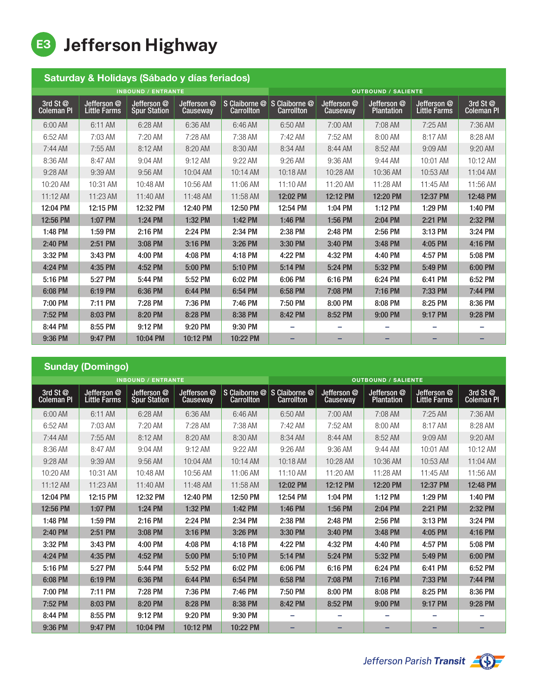E3 Jefferson Highway

| Saturday & Holidays (Sábado y días feriados) |                                    |                                    |                         |                                                          |                             |                                |                                  |                                    |                               |  |
|----------------------------------------------|------------------------------------|------------------------------------|-------------------------|----------------------------------------------------------|-----------------------------|--------------------------------|----------------------------------|------------------------------------|-------------------------------|--|
| <b>INBOUND / ENTRANTE</b>                    |                                    |                                    |                         |                                                          | <b>OUTBOUND / SALIENTE</b>  |                                |                                  |                                    |                               |  |
| 3rd St @<br><b>Coleman PI</b>                | Jefferson @<br><b>Little Farms</b> | Jefferson @<br><b>Spur Station</b> | Jefferson @<br>Causeway | S Claiborne <sup><sup>®</sup></sup><br><b>Carrollton</b> | S Claiborne @<br>Carrollton | Jefferson @<br><b>Causeway</b> | Jefferson @<br><b>Plantation</b> | Jefferson @<br><b>Little Farms</b> | 3rd St @<br><b>Coleman PI</b> |  |
| 6:00 AM                                      | 6:11 AM                            | 6:28 AM                            | 6:36 AM                 | 6:46 AM                                                  | 6:50 AM                     | $7:00$ AM                      | 7:08 AM                          | 7:25 AM                            | 7:36 AM                       |  |
| 6:52 AM                                      | 7:03 AM                            | $7:20$ AM                          | 7:28 AM                 | 7:38 AM                                                  | 7:42 AM                     | 7:52 AM                        | 8:00 AM                          | 8:17 AM                            | 8:28 AM                       |  |
| $7:44$ AM                                    | 7:55 AM                            | 8:12 AM                            | 8:20 AM                 | 8:30 AM                                                  | 8:34 AM                     | 8:44 AM                        | 8:52 AM                          | 9:09 AM                            | 9:20 AM                       |  |
| 8:36 AM                                      | 8:47 AM                            | $9:04$ AM                          | $9:12 \text{ AM}$       | 9:22 AM                                                  | 9:26 AM                     | 9:36 AM                        | 9:44 AM                          | 10:01 AM                           | 10:12 AM                      |  |
| 9:28 AM                                      | 9:39 AM                            | 9:56 AM                            | 10:04 AM                | 10:14 AM                                                 | 10:18 AM                    | 10:28 AM                       | 10:36 AM                         | 10:53 AM                           | 11:04 AM                      |  |
| 10:20 AM                                     | 10:31 AM                           | 10:48 AM                           | 10:56 AM                | 11:06 AM                                                 | 11:10 AM                    | 11:20 AM                       | 11:28 AM                         | 11:45 AM                           | 11:56 AM                      |  |
| 11:12 AM                                     | 11:23 AM                           | 11:40 AM                           | 11:48 AM                | 11:58 AM                                                 | 12:02 PM                    | 12:12 PM                       | 12:20 PM                         | 12:37 PM                           | 12:48 PM                      |  |
| 12:04 PM                                     | 12:15 PM                           | 12:32 PM                           | 12:40 PM                | 12:50 PM                                                 | 12:54 PM                    | 1:04 PM                        | 1:12 PM                          | 1:29 PM                            | 1:40 PM                       |  |
| 12:56 PM                                     | 1:07 PM                            | 1:24 PM                            | 1:32 PM                 | 1:42 PM                                                  | 1:46 PM                     | 1:56 PM                        | 2:04 PM                          | 2:21 PM                            | 2:32 PM                       |  |
| 1:48 PM                                      | 1:59 PM                            | 2:16 PM                            | 2:24 PM                 | 2:34 PM                                                  | 2:38 PM                     | 2:48 PM                        | 2:56 PM                          | 3:13 PM                            | 3:24 PM                       |  |
| 2:40 PM                                      | 2:51 PM                            | 3:08 PM                            | 3:16 PM                 | 3:26 PM                                                  | 3:30 PM                     | 3:40 PM                        | 3:48 PM                          | 4:05 PM                            | 4:16 PM                       |  |
| 3:32 PM                                      | 3:43 PM                            | 4:00 PM                            | 4:08 PM                 | 4:18 PM                                                  | 4:22 PM                     | 4:32 PM                        | 4:40 PM                          | 4:57 PM                            | 5:08 PM                       |  |
| 4:24 PM                                      | 4:35 PM                            | 4:52 PM                            | 5:00 PM                 | 5:10 PM                                                  | 5:14 PM                     | 5:24 PM                        | 5:32 PM                          | 5:49 PM                            | 6:00 PM                       |  |
| 5:16 PM                                      | 5:27 PM                            | 5:44 PM                            | 5:52 PM                 | 6:02 PM                                                  | 6:06 PM                     | 6:16 PM                        | 6:24 PM                          | 6:41 PM                            | 6:52 PM                       |  |
| 6:08 PM                                      | 6:19 PM                            | 6:36 PM                            | 6:44 PM                 | 6:54 PM                                                  | 6:58 PM                     | 7:08 PM                        | 7:16 PM                          | 7:33 PM                            | 7:44 PM                       |  |
| 7:00 PM                                      | 7:11 PM                            | 7:28 PM                            | 7:36 PM                 | 7:46 PM                                                  | 7:50 PM                     | 8:00 PM                        | 8:08 PM                          | 8:25 PM                            | 8:36 PM                       |  |
| 7:52 PM                                      | 8:03 PM                            | 8:20 PM                            | 8:28 PM                 | 8:38 PM                                                  | 8:42 PM                     | 8:52 PM                        | 9:00 PM                          | 9:17 PM                            | 9:28 PM                       |  |
| 8:44 PM                                      | 8:55 PM                            | 9:12 PM                            | 9:20 PM                 | 9:30 PM                                                  |                             | -                              |                                  |                                    |                               |  |
| 9:36 PM                                      | 9:47 PM                            | 10:04 PM                           | 10:12 PM                | 10:22 PM                                                 |                             |                                | -                                |                                    |                               |  |

## Sunday (Domingo)

| <b>INBOUND / ENTRANTE</b> |                                    |                                    |                         |                                               | <b>OUTBOUND / SALIENTE</b>         |                                |                                  |                                               |                               |  |
|---------------------------|------------------------------------|------------------------------------|-------------------------|-----------------------------------------------|------------------------------------|--------------------------------|----------------------------------|-----------------------------------------------|-------------------------------|--|
| 3rd St @<br>Coleman PI    | Jefferson @<br><b>Little Farms</b> | Jefferson @<br><b>Spur Station</b> | Jefferson @<br>Causeway | S Claiborne <sup>@</sup><br><b>Carrollton</b> | S Claiborne @<br><b>Carrollton</b> | Jefferson @<br><b>Causeway</b> | Jefferson @<br><b>Plantation</b> | Jefferson <sup>@</sup><br><b>Little Farms</b> | 3rd St @<br><b>Coleman PI</b> |  |
| 6:00 AM                   | 6:11 AM                            | 6:28 AM                            | 6:36 AM                 | 6:46 AM                                       | 6:50 AM                            | 7:00 AM                        | 7:08 AM                          | $7:25$ AM                                     | 7:36 AM                       |  |
| 6:52 AM                   | 7:03 AM                            | 7:20 AM                            | 7:28 AM                 | 7:38 AM                                       | 7:42 AM                            | 7:52 AM                        | 8:00 AM                          | 8:17 AM                                       | 8:28 AM                       |  |
| $7:44$ AM                 | 7:55 AM                            | 8:12 AM                            | 8:20 AM                 | 8:30 AM                                       | 8:34 AM                            | 8:44 AM                        | 8:52 AM                          | 9:09 AM                                       | 9:20 AM                       |  |
| 8:36 AM                   | 8:47 AM                            | 9:04 AM                            | 9:12 AM                 | 9:22 AM                                       | 9:26 AM                            | 9:36 AM                        | 9:44 AM                          | 10:01 AM                                      | 10:12 AM                      |  |
| 9:28 AM                   | 9:39 AM                            | 9:56 AM                            | 10:04 AM                | 10:14AM                                       | 10:18 AM                           | 10:28 AM                       | 10:36 AM                         | 10:53 AM                                      | 11:04 AM                      |  |
| 10:20 AM                  | 10:31 AM                           | 10:48 AM                           | 10:56 AM                | 11:06 AM                                      | 11:10 AM                           | 11:20 AM                       | 11:28 AM                         | 11:45 AM                                      | 11:56 AM                      |  |
| 11:12 AM                  | 11:23 AM                           | 11:40 AM                           | 11:48 AM                | 11:58 AM                                      | 12:02 PM                           | 12:12 PM                       | 12:20 PM                         | 12:37 PM                                      | 12:48 PM                      |  |
| 12:04 PM                  | 12:15 PM                           | 12:32 PM                           | 12:40 PM                | 12:50 PM                                      | 12:54 PM                           | 1:04 PM                        | 1:12 PM                          | 1:29 PM                                       | 1:40 PM                       |  |
| 12:56 PM                  | 1:07 PM                            | 1:24 PM                            | 1:32 PM                 | 1:42 PM                                       | 1:46 PM                            | 1:56 PM                        | 2:04 PM                          | 2:21 PM                                       | 2:32 PM                       |  |
| 1:48 PM                   | 1:59 PM                            | 2:16 PM                            | 2:24 PM                 | 2:34 PM                                       | 2:38 PM                            | 2:48 PM                        | 2:56 PM                          | 3:13 PM                                       | 3:24 PM                       |  |
| 2:40 PM                   | 2:51 PM                            | 3:08 PM                            | 3:16 PM                 | 3:26 PM                                       | 3:30 PM                            | 3:40 PM                        | 3:48 PM                          | 4:05 PM                                       | 4:16 PM                       |  |
| 3:32 PM                   | 3:43 PM                            | 4:00 PM                            | 4:08 PM                 | 4:18 PM                                       | 4:22 PM                            | 4:32 PM                        | 4:40 PM                          | 4:57 PM                                       | 5:08 PM                       |  |
| 4:24 PM                   | 4:35 PM                            | 4:52 PM                            | 5:00 PM                 | 5:10 PM                                       | 5:14 PM                            | 5:24 PM                        | 5:32 PM                          | 5:49 PM                                       | 6:00 PM                       |  |
| 5:16 PM                   | 5:27 PM                            | 5:44 PM                            | 5:52 PM                 | 6:02 PM                                       | 6:06 PM                            | 6:16 PM                        | 6:24 PM                          | 6:41 PM                                       | 6:52 PM                       |  |
| 6:08 PM                   | 6:19 PM                            | 6:36 PM                            | 6:44 PM                 | 6:54 PM                                       | 6:58 PM                            | 7:08 PM                        | 7:16 PM                          | 7:33 PM                                       | 7:44 PM                       |  |
| 7:00 PM                   | 7:11 PM                            | 7:28 PM                            | 7:36 PM                 | 7:46 PM                                       | 7:50 PM                            | 8:00 PM                        | 8:08 PM                          | 8:25 PM                                       | 8:36 PM                       |  |
| 7:52 PM                   | 8:03 PM                            | 8:20 PM                            | 8:28 PM                 | 8:38 PM                                       | 8:42 PM                            | 8:52 PM                        | 9:00 PM                          | 9:17 PM                                       | 9:28 PM                       |  |
| 8:44 PM                   | 8:55 PM                            | 9:12 PM                            | 9:20 PM                 | 9:30 PM                                       |                                    | -                              |                                  |                                               |                               |  |
| 9:36 PM                   | 9:47 PM                            | 10:04 PM                           | 10:12 PM                | 10:22 PM                                      |                                    |                                |                                  |                                               |                               |  |